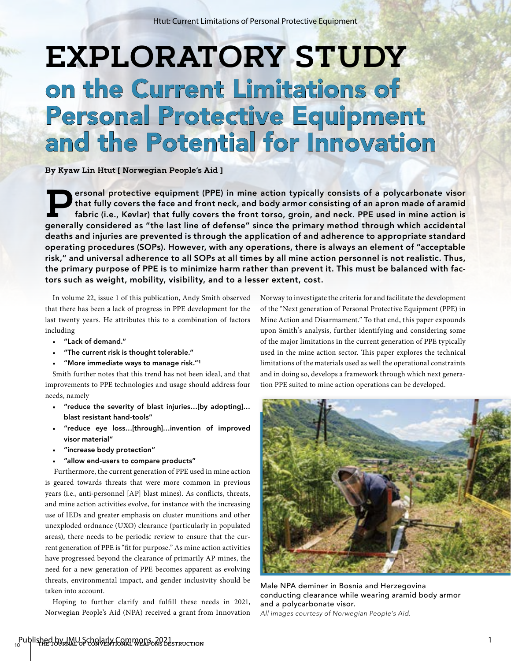# **EXPLORATORY STUDY** on the Current Limitations of Personal Protective Equipment and the Potential for Innovation

**By Kyaw Lin Htut [ Norwegian People's Aid ]**

**Personal protective equipment (PPE) in mine action typically consists of a polycarbonate visor<br>that fully covers the face and front neck, and body armor consisting of an apron made of aramid<br>fabric (i.e., Kevlar) that ful** that fully covers the face and front neck, and body armor consisting of an apron made of aramid fabric (i.e., Kevlar) that fully covers the front torso, groin, and neck. PPE used in mine action is generally considered as "the last line of defense" since the primary method through which accidental deaths and injuries are prevented is through the application of and adherence to appropriate standard operating procedures (SOPs). However, with any operations, there is always an element of "acceptable risk," and universal adherence to all SOPs at all times by all mine action personnel is not realistic. Thus, the primary purpose of PPE is to minimize harm rather than prevent it. This must be balanced with factors such as weight, mobility, visibility, and to a lesser extent, cost.

In volume 22, issue 1 of this publication, Andy Smith observed that there has been a lack of progress in PPE development for the last twenty years. He attributes this to a combination of factors including

- "Lack of demand."
- "The current risk is thought tolerable."
- "More immediate ways to manage risk."1

Smith further notes that this trend has not been ideal, and that improvements to PPE technologies and usage should address four needs, namely

- "reduce the severity of blast injuries…[by adopting]… blast resistant hand-tools"
- "reduce eye loss…[through]…invention of improved visor material"
- "increase body protection"
- "allow end-users to compare products"

 Furthermore, the current generation of PPE used in mine action is geared towards threats that were more common in previous years (i.e., anti-personnel [AP] blast mines). As conflicts, threats, and mine action activities evolve, for instance with the increasing use of IEDs and greater emphasis on cluster munitions and other unexploded ordnance (UXO) clearance (particularly in populated areas), there needs to be periodic review to ensure that the current generation of PPE is "fit for purpose." As mine action activities have progressed beyond the clearance of primarily AP mines, the need for a new generation of PPE becomes apparent as evolving threats, environmental impact, and gender inclusivity should be taken into account.

Hoping to further clarify and fulfill these needs in 2021, Norwegian People's Aid (NPA) received a grant from Innovation

Norway to investigate the criteria for and facilitate the development of the "Next generation of Personal Protective Equipment (PPE) in Mine Action and Disarmament." To that end, this paper expounds upon Smith's analysis, further identifying and considering some of the major limitations in the current generation of PPE typically used in the mine action sector. This paper explores the technical limitations of the materials used as well the operational constraints and in doing so, develops a framework through which next generation PPE suited to mine action operations can be developed.



Male NPA deminer in Bosnia and Herzegovina conducting clearance while wearing aramid body armor and a polycarbonate visor. *All images courtesy of Norwegian People's Aid.*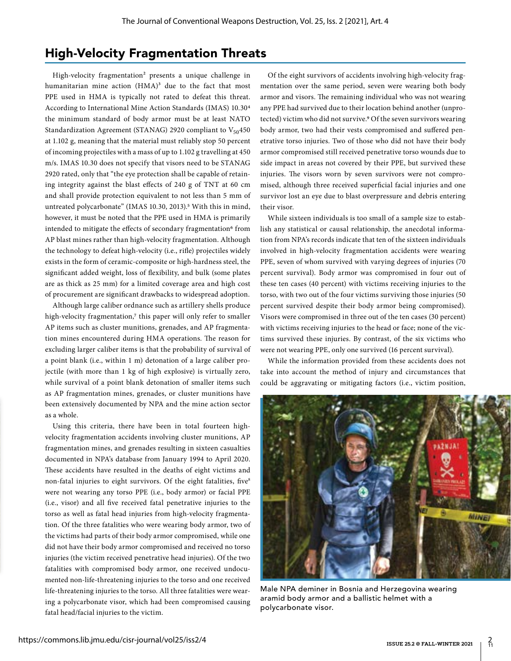#### High-Velocity Fragmentation Threats

High-velocity fragmentation<sup>2</sup> presents a unique challenge in humanitarian mine action  $(HMA)^3$  due to the fact that most PPE used in HMA is typically not rated to defeat this threat. According to International Mine Action Standards (IMAS) 10.304 the minimum standard of body armor must be at least NATO Standardization Agreement (STANAG) 2920 compliant to  $V_{50}$ 450 at 1.102 g, meaning that the material must reliably stop 50 percent of incoming projectiles with a mass of up to 1.102 g travelling at 450 m/s. IMAS 10.30 does not specify that visors need to be STANAG 2920 rated, only that "the eye protection shall be capable of retaining integrity against the blast effects of 240 g of TNT at 60 cm and shall provide protection equivalent to not less than 5 mm of untreated polycarbonate" (IMAS 10.30, 2013).<sup>5</sup> With this in mind, however, it must be noted that the PPE used in HMA is primarily intended to mitigate the effects of secondary fragmentation<sup>6</sup> from AP blast mines rather than high-velocity fragmentation. Although the technology to defeat high-velocity (i.e., rifle) projectiles widely exists in the form of ceramic-composite or high-hardness steel, the significant added weight, loss of flexibility, and bulk (some plates are as thick as 25 mm) for a limited coverage area and high cost of procurement are significant drawbacks to widespread adoption.

Although large caliber ordnance such as artillery shells produce high-velocity fragmentation,7 this paper will only refer to smaller AP items such as cluster munitions, grenades, and AP fragmentation mines encountered during HMA operations. The reason for excluding larger caliber items is that the probability of survival of a point blank (i.e., within 1 m) detonation of a large caliber projectile (with more than 1 kg of high explosive) is virtually zero, while survival of a point blank detonation of smaller items such as AP fragmentation mines, grenades, or cluster munitions have been extensively documented by NPA and the mine action sector as a whole.

Using this criteria, there have been in total fourteen highvelocity fragmentation accidents involving cluster munitions, AP fragmentation mines, and grenades resulting in sixteen casualties documented in NPA's database from January 1994 to April 2020. These accidents have resulted in the deaths of eight victims and non-fatal injuries to eight survivors. Of the eight fatalities, five<sup>8</sup> were not wearing any torso PPE (i.e., body armor) or facial PPE (i.e., visor) and all five received fatal penetrative injuries to the torso as well as fatal head injuries from high-velocity fragmentation. Of the three fatalities who were wearing body armor, two of the victims had parts of their body armor compromised, while one did not have their body armor compromised and received no torso injuries (the victim received penetrative head injuries). Of the two fatalities with compromised body armor, one received undocumented non-life-threatening injuries to the torso and one received life-threatening injuries to the torso. All three fatalities were wearing a polycarbonate visor, which had been compromised causing fatal head/facial injuries to the victim.

Of the eight survivors of accidents involving high-velocity fragmentation over the same period, seven were wearing both body armor and visors. The remaining individual who was not wearing any PPE had survived due to their location behind another (unprotected) victim who did not survive.9 Of the seven survivors wearing body armor, two had their vests compromised and suffered penetrative torso injuries. Two of those who did not have their body armor compromised still received penetrative torso wounds due to side impact in areas not covered by their PPE, but survived these injuries. The visors worn by seven survivors were not compromised, although three received superficial facial injuries and one survivor lost an eye due to blast overpressure and debris entering their visor.

While sixteen individuals is too small of a sample size to establish any statistical or causal relationship, the anecdotal information from NPA's records indicate that ten of the sixteen individuals involved in high-velocity fragmentation accidents were wearing PPE, seven of whom survived with varying degrees of injuries (70 percent survival). Body armor was compromised in four out of these ten cases (40 percent) with victims receiving injuries to the torso, with two out of the four victims surviving those injuries (50 percent survived despite their body armor being compromised). Visors were compromised in three out of the ten cases (30 percent) with victims receiving injuries to the head or face; none of the victims survived these injuries. By contrast, of the six victims who were not wearing PPE, only one survived (16 percent survival).

While the information provided from these accidents does not take into account the method of injury and circumstances that could be aggravating or mitigating factors (i.e., victim position,



Male NPA deminer in Bosnia and Herzegovina wearing aramid body armor and a ballistic helmet with a polycarbonate visor.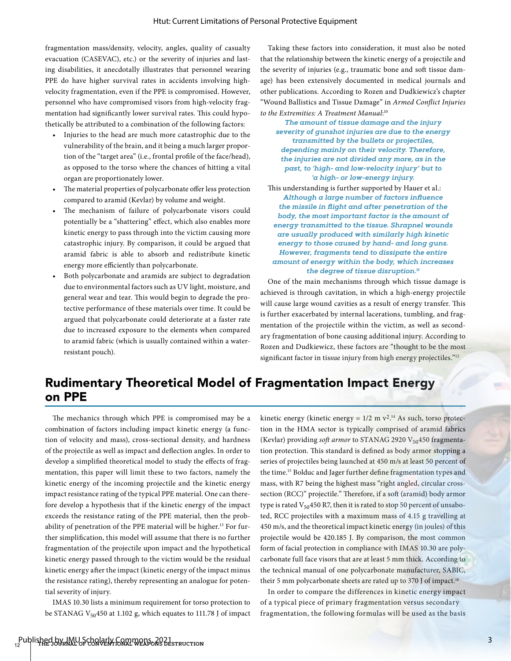fragmentation mass/density, velocity, angles, quality of casualty evacuation (CASEVAC), etc.) or the severity of injuries and lasting disabilities, it anecdotally illustrates that personnel wearing PPE do have higher survival rates in accidents involving highvelocity fragmentation, even if the PPE is compromised. However, personnel who have compromised visors from high-velocity fragmentation had significantly lower survival rates. This could hypothetically be attributed to a combination of the following factors:

- Injuries to the head are much more catastrophic due to the vulnerability of the brain, and it being a much larger proportion of the "target area" (i.e., frontal profile of the face/head), as opposed to the torso where the chances of hitting a vital organ are proportionately lower.
- The material properties of polycarbonate offer less protection compared to aramid (Kevlar) by volume and weight.
- The mechanism of failure of polycarbonate visors could potentially be a "shattering" effect, which also enables more kinetic energy to pass through into the victim causing more catastrophic injury. By comparison, it could be argued that aramid fabric is able to absorb and redistribute kinetic energy more efficiently than polycarbonate.
- Both polycarbonate and aramids are subject to degradation due to environmental factors such as UV light, moisture, and general wear and tear. This would begin to degrade the protective performance of these materials over time. It could be argued that polycarbonate could deteriorate at a faster rate due to increased exposure to the elements when compared to aramid fabric (which is usually contained within a waterresistant pouch).

Taking these factors into consideration, it must also be noted that the relationship between the kinetic energy of a projectile and the severity of injuries (e.g., traumatic bone and soft tissue damage) has been extensively documented in medical journals and other publications. According to Rozen and Dudkiewicz's chapter "Wound Ballistics and Tissue Damage" in *Armed Conflict Injuries to the Extremities: A Treatment Manual*: 10

*The amount of tissue damage and the injury severity of gunshot injuries are due to the energy transmitted by the bullets or projectiles, depending mainly on their velocity. Therefore, the injuries are not divided any more, as in the past, to 'high- and low-velocity injury' but to 'a high- or low-energy injury.* 

This understanding is further supported by Hauer et al.: *Although a large number of factors influence the missile in flight and after penetration of the body, the most important factor is the amount of energy transmitted to the tissue. Shrapnel wounds are usually produced with similarly high kinetic energy to those caused by hand- and long guns. However, fragments tend to dissipate the entire amount of energy within the body, which increases the degree of tissue disruption.11*

One of the main mechanisms through which tissue damage is achieved is through cavitation, in which a high-energy projectile will cause large wound cavities as a result of energy transfer. This is further exacerbated by internal lacerations, tumbling, and fragmentation of the projectile within the victim, as well as secondary fragmentation of bone causing additional injury. According to Rozen and Dudkiewicz, these factors are "thought to be the most significant factor in tissue injury from high energy projectiles."<sup>12</sup>

### Rudimentary Theoretical Model of Fragmentation Impact Energy on PPE

The mechanics through which PPE is compromised may be a combination of factors including impact kinetic energy (a function of velocity and mass), cross-sectional density, and hardness of the projectile as well as impact and deflection angles. In order to develop a simplified theoretical model to study the effects of fragmentation, this paper will limit these to two factors, namely the kinetic energy of the incoming projectile and the kinetic energy impact resistance rating of the typical PPE material. One can therefore develop a hypothesis that if the kinetic energy of the impact exceeds the resistance rating of the PPE material, then the probability of penetration of the PPE material will be higher.<sup>13</sup> For further simplification, this model will assume that there is no further fragmentation of the projectile upon impact and the hypothetical kinetic energy passed through to the victim would be the residual kinetic energy after the impact (kinetic energy of the impact minus the resistance rating), thereby representing an analogue for potential severity of injury.

IMAS 10.30 lists a minimum requirement for torso protection to be STANAG V<sub>50</sub>450 at 1.102 g, which equates to 111.78 J of impact

kinetic energy (kinetic energy =  $1/2$  m  $v^2$ .<sup>14</sup> As such, torso protection in the HMA sector is typically comprised of aramid fabrics (Kevlar) providing *soft armor* to STANAG 2920 V<sub>50</sub>450 fragmentation protection. This standard is defined as body armor stopping a series of projectiles being launched at 450 m/s at least 50 percent of the time.15 Bolduc and Jager further define fragmentation types and mass, with R7 being the highest mass "right angled, circular crosssection (RCC)" projectile." Therefore, if a soft (aramid) body armor type is rated  $V_{50}$ 450 R7, then it is rated to stop 50 percent of unsaboted, RCC projectiles with a maximum mass of 4.15 g travelling at 450 m/s, and the theoretical impact kinetic energy (in joules) of this projectile would be 420.185 J. By comparison, the most common form of facial protection in compliance with IMAS 10.30 are polycarbonate full face visors that are at least 5 mm thick. According to the technical manual of one polycarbonate manufacturer, SABIC, their 5 mm polycarbonate sheets are rated up to 370 J of impact.16

In order to compare the differences in kinetic energy impact of a typical piece of primary fragmentation versus secondary fragmentation, the following formulas will be used as the basis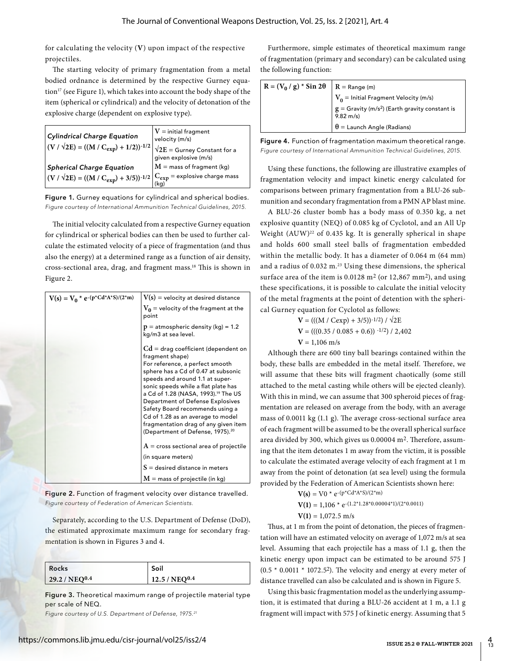for calculating the velocity (**V**) upon impact of the respective projectiles.

The starting velocity of primary fragmentation from a metal bodied ordnance is determined by the respective Gurney equation<sup>17</sup> (see Figure 1), which takes into account the body shape of the item (spherical or cylindrical) and the velocity of detonation of the explosive charge (dependent on explosive type).

| <b>Cylindrical Charge Equation</b><br>$ (V / \sqrt{2E}) = ((M / C_{exp}) + 1/2))^{-1/2} $                                                                        | $V =$ initial fragment<br>velocity (m/s)<br>$\sqrt{2E}$ = Gurney Constant for a<br>given explosive (m/s) |
|------------------------------------------------------------------------------------------------------------------------------------------------------------------|----------------------------------------------------------------------------------------------------------|
| <b>Spherical Charge Equation</b>                                                                                                                                 | $M =$ mass of fragment (kg)                                                                              |
| $\left  (\text{V} / \sqrt{2E}) = ((\text{M} / C_{\text{exp}}) + 3/5))^{-1/2} \right _{\substack{C \text{exp} \\ (L = \infty)}}^{\infty}$ = explosive charge mass |                                                                                                          |

Figure 1. Gurney equations for cylindrical and spherical bodies. *Figure courtesy of International Ammunition Technical Guidelines, 2015.*

The initial velocity calculated from a respective Gurney equation for cylindrical or spherical bodies can then be used to further calculate the estimated velocity of a piece of fragmentation (and thus also the energy) at a determined range as a function of air density, cross-sectional area, drag, and fragment mass.18 This is shown in Figure 2.

| $V(s) = V_0 * e^{-(p^*Cd^*A^*S)/(2^*m)}$ | $V(s)$ = velocity at desired distance                                                                                                                                                                                                                                                                                                                                                                                                                               |
|------------------------------------------|---------------------------------------------------------------------------------------------------------------------------------------------------------------------------------------------------------------------------------------------------------------------------------------------------------------------------------------------------------------------------------------------------------------------------------------------------------------------|
|                                          | $V_0$ = velocity of the fragment at the<br>point                                                                                                                                                                                                                                                                                                                                                                                                                    |
|                                          | $p =$ atmospheric density (kg) = 1.2<br>kg/m3 at sea level.                                                                                                                                                                                                                                                                                                                                                                                                         |
|                                          | $Cd = drag coefficient (dependent on$<br>fragment shape)<br>For reference, a perfect smooth<br>sphere has a Cd of 0.47 at subsonic<br>speeds and around 1.1 at super-<br>sonic speeds while a flat plate has<br>a Cd of 1.28 (NASA, 1993). <sup>19</sup> The US<br>Department of Defense Explosives<br>Safety Board recommends using a<br>Cd of 1.28 as an average to model<br>fragmentation drag of any given item<br>(Department of Defense, 1975). <sup>20</sup> |
|                                          | $A = \text{cross sectional area of projectile}$                                                                                                                                                                                                                                                                                                                                                                                                                     |
|                                          | (in square meters)                                                                                                                                                                                                                                                                                                                                                                                                                                                  |
|                                          | $S =$ desired distance in meters                                                                                                                                                                                                                                                                                                                                                                                                                                    |
|                                          | $M =$ mass of projectile (in kg)                                                                                                                                                                                                                                                                                                                                                                                                                                    |

Figure 2. Function of fragment velocity over distance travelled. *Figure courtesy of Federation of American Scientists.*

Separately, according to the U.S. Department of Defense (DoD), the estimated approximate maximum range for secondary fragmentation is shown in Figures 3 and 4.

| Rocks                     | Soil               |
|---------------------------|--------------------|
| 29.2 / NEQ <sup>0.4</sup> | $12.5 / NEQ^{0.4}$ |

Figure 3. Theoretical maximum range of projectile material type per scale of NEQ.

*Figure courtesy of U.S. Department of Defense, 1975.21*

Furthermore, simple estimates of theoretical maximum range of fragmentation (primary and secondary) can be calculated using the following function:

| $R = (V_0 / g) * Sin 2\theta   R = Range (m)$ | $\mid V_0 =$ Initial Fragment Velocity (m/s)                                                                  |
|-----------------------------------------------|---------------------------------------------------------------------------------------------------------------|
|                                               | $\left  \begin{array}{l} g = \text{Gravity (m/s}^2) \end{array} \right.$ (Earth gravity constant is 9.82 m/s) |
|                                               | $\theta$ = Launch Angle (Radians)                                                                             |

Figure 4. Function of fragmentation maximum theoretical range. *Figure courtesy of International Ammunition Technical Guidelines, 2015.*

Using these functions, the following are illustrative examples of fragmentation velocity and impact kinetic energy calculated for comparisons between primary fragmentation from a BLU-26 submunition and secondary fragmentation from a PMN AP blast mine.

A BLU-26 cluster bomb has a body mass of 0.350 kg, a net explosive quantity (NEQ) of 0.085 kg of Cyclotol, and an All Up Weight  $(AUW)^{22}$  of 0.435 kg. It is generally spherical in shape and holds 600 small steel balls of fragmentation embedded within the metallic body. It has a diameter of 0.064 m (64 mm) and a radius of 0.032 m.<sup>23</sup> Using these dimensions, the spherical surface area of the item is  $0.0128$  m<sup>2</sup> (or 12,867 mm<sup>2</sup>), and using these specifications, it is possible to calculate the initial velocity of the metal fragments at the point of detention with the spherical Gurney equation for Cyclotol as follows:

> $V = (((M / Cexp) + 3/5))^{-1/2}) / \sqrt{2E}$  $V = (((0.35 / 0.085 + 0.6))^{-1/2}) / 2,402$  $V = 1,106$  m/s

Although there are 600 tiny ball bearings contained within the body, these balls are embedded in the metal itself. Therefore, we will assume that these bits will fragment chaotically (some still attached to the metal casting while others will be ejected cleanly). With this in mind, we can assume that 300 spheroid pieces of fragmentation are released on average from the body, with an average mass of 0.0011 kg (1.1 g). The average cross-sectional surface area of each fragment will be assumed to be the overall spherical surface area divided by 300, which gives us 0.00004 m2. Therefore, assuming that the item detonates 1 m away from the victim, it is possible to calculate the estimated average velocity of each fragment at 1 m away from the point of detonation (at sea level) using the formula provided by the Federation of American Scientists shown here:

 $V(s) = V0 * e^{-(p*C d*A*S)/(2*m)}$ 

$$
V(1) = 1,106 * e^{-(1.2 * 1.28 * 0.00004 * 1)/(2 * 0.0011)}
$$

 $V(1) = 1.072.5$  m/s

Thus, at 1 m from the point of detonation, the pieces of fragmentation will have an estimated velocity on average of 1,072 m/s at sea level. Assuming that each projectile has a mass of 1.1 g, then the kinetic energy upon impact can be estimated to be around 575 J  $(0.5 * 0.0011 * 1072.52)$ . The velocity and energy at every meter of distance travelled can also be calculated and is shown in Figure 5.

Using this basic fragmentation model as the underlying assumption, it is estimated that during a BLU-26 accident at 1 m, a 1.1 g fragment will impact with 575 J of kinetic energy. Assuming that 5

4<br>13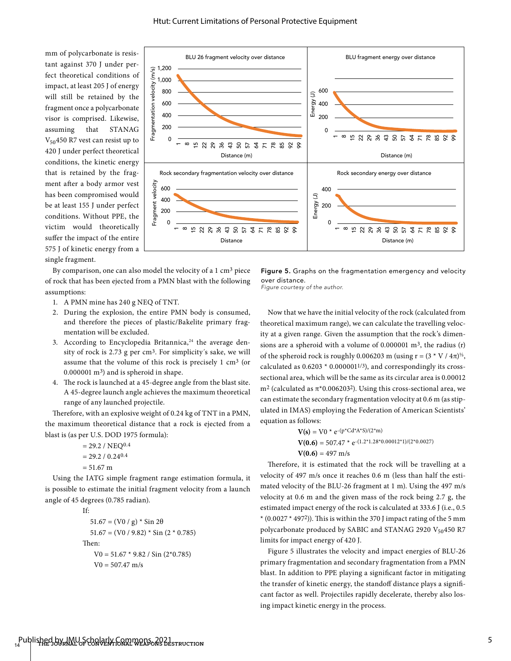mm of polycarbonate is resistant against 370 J under perfect theoretical conditions of impact, at least 205 J of energy will still be retained by the fragment once a polycarbonate visor is comprised. Likewise, assuming that STANAG  $V_{50}$ 450 R7 vest can resist up to 420 J under perfect theoretical conditions, the kinetic energy that is retained by the fragment after a body armor vest has been compromised would be at least 155 J under perfect conditions. Without PPE, the victim would theoretically suffer the impact of the entire 575 J of kinetic energy from a

single fragment.



By comparison, one can also model the velocity of a 1 cm3 piece of rock that has been ejected from a PMN blast with the following assumptions:

- 1. A PMN mine has 240 g NEQ of TNT.
- 2. During the explosion, the entire PMN body is consumed, and therefore the pieces of plastic/Bakelite primary fragmentation will be excluded.
- 3. According to Encyclopedia Britannica,<sup>24</sup> the average density of rock is 2.73 g per cm<sup>3</sup>. For simplicity's sake, we will assume that the volume of this rock is precisely 1 cm3 (or 0.000001 m3) and is spheroid in shape.
- 4. The rock is launched at a 45-degree angle from the blast site. A 45-degree launch angle achieves the maximum theoretical range of any launched projectile.

Therefore, with an explosive weight of 0.24 kg of TNT in a PMN, the maximum theoretical distance that a rock is ejected from a blast is (as per U.S. DOD 1975 formula):

- $= 29.2 / NEQ<sup>0.4</sup>$  $= 29.2 / 0.2404$
- $= 51.67 \text{ m}$

Using the IATG simple fragment range estimation formula, it is possible to estimate the initial fragment velocity from a launch angle of 45 degrees (0.785 radian).

```
If:
51.67 = (V0 / g) * Sin 2\theta51.67 = (V0 / 9.82) * Sin (2 * 0.785)Then:
  V0 = 51.67 * 9.82 / Sin(2*0.785)V0 = 507.47 m/s
```
Figure 5. Graphs on the fragmentation emergency and velocity over distance.

*Figure courtesy of the author.*

Now that we have the initial velocity of the rock (calculated from theoretical maximum range), we can calculate the travelling velocity at a given range. Given the assumption that the rock's dimensions are a spheroid with a volume of  $0.000001$  m<sup>3</sup>, the radius (r) of the spheroid rock is roughly 0.006203 m (using r =  $(3 \times V / 4\pi)^{1/3}$ , calculated as  $0.6203 * 0.000001^{1/3}$ ), and correspondingly its crosssectional area, which will be the same as its circular area is 0.00012 m<sup>2</sup> (calculated as  $π*0.006203<sup>2</sup>$ ). Using this cross-sectional area, we can estimate the secondary fragmentation velocity at 0.6 m (as stipulated in IMAS) employing the Federation of American Scientists' equation as follows:

$$
V(s) = V0 * e^{-(p * Cd*A*S)/(2*m)}
$$
  
 
$$
V(0.6) = 507.47 * e^{-(1.2*1.28*0.00012*1)/(2*0.0027)}
$$
  
 
$$
V(0.6) = 497 \text{ m/s}
$$

Therefore, it is estimated that the rock will be travelling at a velocity of 497 m/s once it reaches 0.6 m (less than half the estimated velocity of the BLU-26 fragment at 1 m). Using the 497 m/s velocity at 0.6 m and the given mass of the rock being 2.7 g, the estimated impact energy of the rock is calculated at 333.6 J (i.e., 0.5  $*(0.0027 * 4972)$ ). This is within the 370 J impact rating of the 5 mm polycarbonate produced by SABIC and STANAG 2920 V<sub>50</sub>450 R7 limits for impact energy of 420 J.

Figure 5 illustrates the velocity and impact energies of BLU-26 primary fragmentation and secondary fragmentation from a PMN blast. In addition to PPE playing a significant factor in mitigating the transfer of kinetic energy, the standoff distance plays a significant factor as well. Projectiles rapidly decelerate, thereby also losing impact kinetic energy in the process.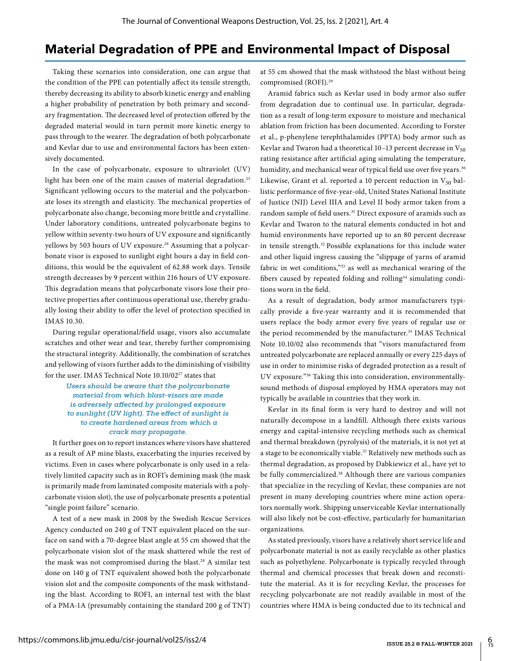#### Material Degradation of PPE and Environmental Impact of Disposal

Taking these scenarios into consideration, one can argue that the condition of the PPE can potentially affect its tensile strength, thereby decreasing its ability to absorb kinetic energy and enabling a higher probability of penetration by both primary and secondary fragmentation. The decreased level of protection offered by the degraded material would in turn permit more kinetic energy to pass through to the wearer. The degradation of both polycarbonate and Kevlar due to use and environmental factors has been extensively documented.

In the case of polycarbonate, exposure to ultraviolet (UV) light has been one of the main causes of material degradation.<sup>25</sup> Significant yellowing occurs to the material and the polycarbonate loses its strength and elasticity. The mechanical properties of polycarbonate also change, becoming more brittle and crystalline. Under laboratory conditions, untreated polycarbonate begins to yellow within seventy-two hours of UV exposure and significantly yellows by 503 hours of UV exposure.<sup>26</sup> Assuming that a polycarbonate visor is exposed to sunlight eight hours a day in field conditions, this would be the equivalent of 62.88 work days. Tensile strength decreases by 9 percent within 216 hours of UV exposure. This degradation means that polycarbonate visors lose their protective properties after continuous operational use, thereby gradually losing their ability to offer the level of protection specified in IMAS 10.30.

During regular operational/field usage, visors also accumulate scratches and other wear and tear, thereby further compromising the structural integrity. Additionally, the combination of scratches and yellowing of visors further adds to the diminishing of visibility for the user. IMAS Technical Note 10.10/02<sup>27</sup> states that

> *Users should be aware that the polycarbonate material from which blast-visors are made is adversely affected by prolonged exposure to sunlight (UV light). The effect of sunlight is to create hardened areas from which a crack may propagate.*

It further goes on to report instances where visors have shattered as a result of AP mine blasts, exacerbating the injuries received by victims. Even in cases where polycarbonate is only used in a relatively limited capacity such as in ROFI's demining mask (the mask is primarily made from laminated composite materials with a polycarbonate vision slot), the use of polycarbonate presents a potential "single point failure" scenario.

A test of a new mask in 2008 by the Swedish Rescue Services Agency conducted on 240 g of TNT equivalent placed on the surface on sand with a 70-degree blast angle at 55 cm showed that the polycarbonate vision slot of the mask shattered while the rest of the mask was not compromised during the blast.28 A similar test done on 140 g of TNT equivalent showed both the polycarbonate vision slot and the composite components of the mask withstanding the blast. According to ROFI, an internal test with the blast of a PMA-1A (presumably containing the standard 200 g of TNT)

at 55 cm showed that the mask withstood the blast without being compromised (ROFI).29

Aramid fabrics such as Kevlar used in body armor also suffer from degradation due to continual use. In particular, degradation as a result of long-term exposure to moisture and mechanical ablation from friction has been documented. According to Forster et al., p-phenylene terephthalamides (PPTA) body armor such as Kevlar and Twaron had a theoretical 10–13 percent decrease in  $V_{50}$ rating resistance after artificial aging simulating the temperature, humidity, and mechanical wear of typical field use over five years.<sup>30</sup> Likewise, Grant et al. reported a 10 percent reduction in  $V_{50}$  ballistic performance of five-year-old, United States National Institute of Justice (NIJ) Level IIIA and Level II body armor taken from a random sample of field users.<sup>31</sup> Direct exposure of aramids such as Kevlar and Twaron to the natural elements conducted in hot and humid environments have reported up to an 80 percent decrease in tensile strength.32 Possible explanations for this include water and other liquid ingress causing the "slippage of yarns of aramid fabric in wet conditions,"33 as well as mechanical wearing of the fibers caused by repeated folding and rolling<sup>34</sup> simulating conditions worn in the field.

As a result of degradation, body armor manufacturers typically provide a five-year warranty and it is recommended that users replace the body armor every five years of regular use or the period recommended by the manufacturer.<sup>35</sup> IMAS Technical Note 10.10/02 also recommends that "visors manufactured from untreated polycarbonate are replaced annually or every 225 days of use in order to minimise risks of degraded protection as a result of UV exposure."36 Taking this into consideration, environmentallysound methods of disposal employed by HMA operators may not typically be available in countries that they work in.

Kevlar in its final form is very hard to destroy and will not naturally decompose in a landfill. Although there exists various energy and capital-intensive recycling methods such as chemical and thermal breakdown (pyrolysis) of the materials, it is not yet at a stage to be economically viable.<sup>37</sup> Relatively new methods such as thermal degradation, as proposed by Dabkiewicz et al., have yet to be fully commercialized.<sup>38</sup> Although there are various companies that specialize in the recycling of Kevlar, these companies are not present in many developing countries where mine action operators normally work. Shipping unserviceable Kevlar internationally will also likely not be cost-effective, particularly for humanitarian organizations.

As stated previously, visors have a relatively short service life and polycarbonate material is not as easily recyclable as other plastics such as polyethylene. Polycarbonate is typically recycled through thermal and chemical processes that break down and reconstitute the material. As it is for recycling Kevlar, the processes for recycling polycarbonate are not readily available in most of the countries where HMA is being conducted due to its technical and

 $\frac{6}{15}$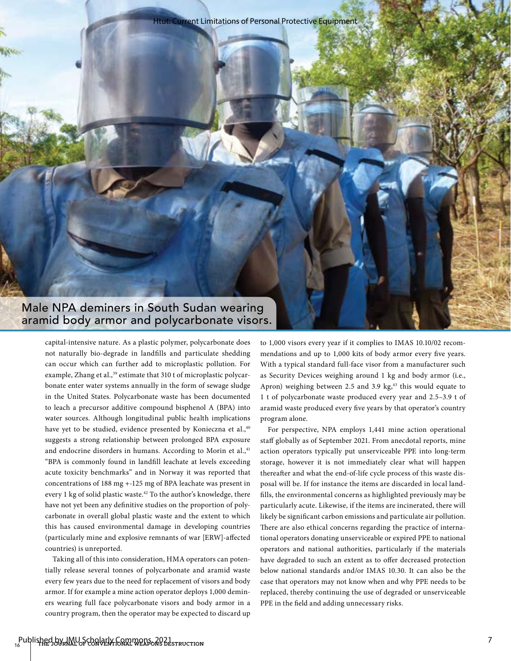Htut: Current Limitations of Personal Protective Equipment

Male NPA deminers in South Sudan wearing aramid body armor and polycarbonate visors.

> capital-intensive nature. As a plastic polymer, polycarbonate does not naturally bio-degrade in landfills and particulate shedding can occur which can further add to microplastic pollution. For example, Zhang et al.,<sup>39</sup> estimate that 310 t of microplastic polycarbonate enter water systems annually in the form of sewage sludge in the United States. Polycarbonate waste has been documented to leach a precursor additive compound bisphenol A (BPA) into water sources. Although longitudinal public health implications have yet to be studied, evidence presented by Konieczna et al.,<sup>40</sup> suggests a strong relationship between prolonged BPA exposure and endocrine disorders in humans. According to Morin et al.,41 "BPA is commonly found in landfill leachate at levels exceeding acute toxicity benchmarks" and in Norway it was reported that concentrations of 188 mg +-125 mg of BPA leachate was present in every 1 kg of solid plastic waste.<sup>42</sup> To the author's knowledge, there have not yet been any definitive studies on the proportion of polycarbonate in overall global plastic waste and the extent to which this has caused environmental damage in developing countries (particularly mine and explosive remnants of war [ERW]-affected countries) is unreported.

> Taking all of this into consideration, HMA operators can potentially release several tonnes of polycarbonate and aramid waste every few years due to the need for replacement of visors and body armor. If for example a mine action operator deploys 1,000 deminers wearing full face polycarbonate visors and body armor in a country program, then the operator may be expected to discard up

to 1,000 visors every year if it complies to IMAS 10.10/02 recommendations and up to 1,000 kits of body armor every five years. With a typical standard full-face visor from a manufacturer such as Security Devices weighing around 1 kg and body armor (i.e., Apron) weighing between 2.5 and 3.9 kg, $43$  this would equate to 1 t of polycarbonate waste produced every year and 2.5–3.9 t of aramid waste produced every five years by that operator's country program alone.

For perspective, NPA employs 1,441 mine action operational staff globally as of September 2021. From anecdotal reports, mine action operators typically put unserviceable PPE into long-term storage, however it is not immediately clear what will happen thereafter and what the end-of-life cycle process of this waste disposal will be. If for instance the items are discarded in local landfills, the environmental concerns as highlighted previously may be particularly acute. Likewise, if the items are incinerated, there will likely be significant carbon emissions and particulate air pollution. There are also ethical concerns regarding the practice of international operators donating unserviceable or expired PPE to national operators and national authorities, particularly if the materials have degraded to such an extent as to offer decreased protection below national standards and/or IMAS 10.30. It can also be the case that operators may not know when and why PPE needs to be replaced, thereby continuing the use of degraded or unserviceable PPE in the field and adding unnecessary risks.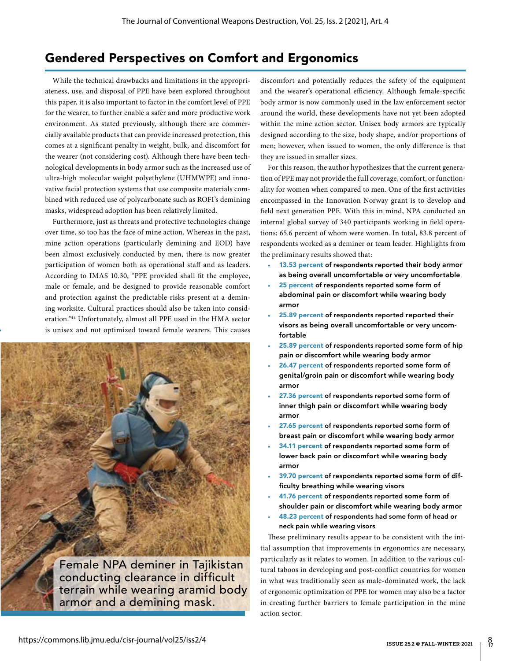#### Gendered Perspectives on Comfort and Ergonomics

While the technical drawbacks and limitations in the appropriateness, use, and disposal of PPE have been explored throughout this paper, it is also important to factor in the comfort level of PPE for the wearer, to further enable a safer and more productive work environment. As stated previously, although there are commercially available products that can provide increased protection, this comes at a significant penalty in weight, bulk, and discomfort for the wearer (not considering cost). Although there have been technological developments in body armor such as the increased use of ultra-high molecular weight polyethylene (UHMWPE) and innovative facial protection systems that use composite materials combined with reduced use of polycarbonate such as ROFI's demining masks, widespread adoption has been relatively limited.

Furthermore, just as threats and protective technologies change over time, so too has the face of mine action. Whereas in the past, mine action operations (particularly demining and EOD) have been almost exclusively conducted by men, there is now greater participation of women both as operational staff and as leaders. According to IMAS 10.30, "PPE provided shall fit the employee, male or female, and be designed to provide reasonable comfort and protection against the predictable risks present at a demining worksite. Cultural practices should also be taken into consideration."44 Unfortunately, almost all PPE used in the HMA sector is unisex and not optimized toward female wearers. This causes



discomfort and potentially reduces the safety of the equipment and the wearer's operational efficiency. Although female-specific body armor is now commonly used in the law enforcement sector around the world, these developments have not yet been adopted within the mine action sector. Unisex body armors are typically designed according to the size, body shape, and/or proportions of men; however, when issued to women, the only difference is that they are issued in smaller sizes.

For this reason, the author hypothesizes that the current generation of PPE may not provide the full coverage, comfort, or functionality for women when compared to men. One of the first activities encompassed in the Innovation Norway grant is to develop and field next generation PPE. With this in mind, NPA conducted an internal global survey of 340 participants working in field operations; 65.6 percent of whom were women. In total, 83.8 percent of respondents worked as a deminer or team leader. Highlights from the preliminary results showed that:

- 13.53 percent of respondents reported their body armor as being overall uncomfortable or very uncomfortable
- 25 percent of respondents reported some form of abdominal pain or discomfort while wearing body armor
- 25.89 percent of respondents reported reported their visors as being overall uncomfortable or very uncomfortable
- 25.89 percent of respondents reported some form of hip pain or discomfort while wearing body armor
- 26.47 percent of respondents reported some form of genital/groin pain or discomfort while wearing body armor
- 27.36 percent of respondents reported some form of inner thigh pain or discomfort while wearing body armor
- 27.65 percent of respondents reported some form of breast pain or discomfort while wearing body armor
- 34.11 percent of respondents reported some form of lower back pain or discomfort while wearing body armor
- 39.70 percent of respondents reported some form of difficulty breathing while wearing visors
- 41.76 percent of respondents reported some form of shoulder pain or discomfort while wearing body armor
- 48.23 percent of respondents had some form of head or neck pain while wearing visors

These preliminary results appear to be consistent with the initial assumption that improvements in ergonomics are necessary, particularly as it relates to women. In addition to the various cultural taboos in developing and post-conflict countries for women in what was traditionally seen as male-dominated work, the lack of ergonomic optimization of PPE for women may also be a factor in creating further barriers to female participation in the mine action sector.

 $\frac{8}{17}$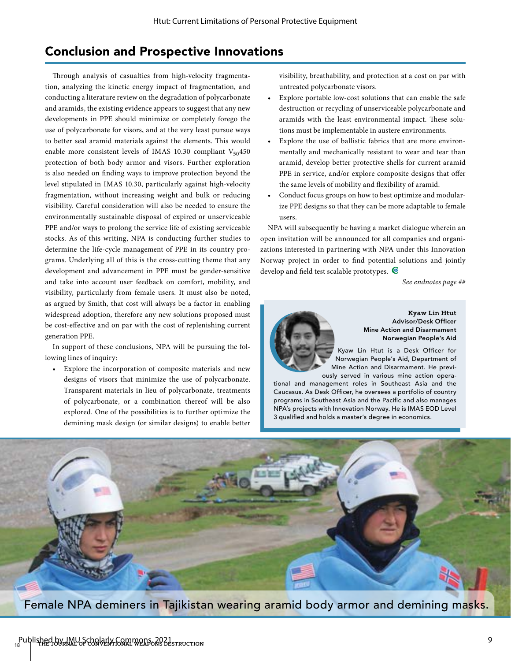## Conclusion and Prospective Innovations

Through analysis of casualties from high-velocity fragmentation, analyzing the kinetic energy impact of fragmentation, and conducting a literature review on the degradation of polycarbonate and aramids, the existing evidence appears to suggest that any new developments in PPE should minimize or completely forego the use of polycarbonate for visors, and at the very least pursue ways to better seal aramid materials against the elements. This would enable more consistent levels of IMAS 10.30 compliant  $V_{50}$ 450 protection of both body armor and visors. Further exploration is also needed on finding ways to improve protection beyond the level stipulated in IMAS 10.30, particularly against high-velocity fragmentation, without increasing weight and bulk or reducing visibility. Careful consideration will also be needed to ensure the environmentally sustainable disposal of expired or unserviceable PPE and/or ways to prolong the service life of existing serviceable stocks. As of this writing, NPA is conducting further studies to determine the life-cycle management of PPE in its country programs. Underlying all of this is the cross-cutting theme that any development and advancement in PPE must be gender-sensitive and take into account user feedback on comfort, mobility, and visibility, particularly from female users. It must also be noted, as argued by Smith, that cost will always be a factor in enabling widespread adoption, therefore any new solutions proposed must be cost-effective and on par with the cost of replenishing current generation PPE.

In support of these conclusions, NPA will be pursuing the following lines of inquiry:

Explore the incorporation of composite materials and new designs of visors that minimize the use of polycarbonate. Transparent materials in lieu of polycarbonate, treatments of polycarbonate, or a combination thereof will be also explored. One of the possibilities is to further optimize the demining mask design (or similar designs) to enable better visibility, breathability, and protection at a cost on par with untreated polycarbonate visors.

- Explore portable low-cost solutions that can enable the safe destruction or recycling of unserviceable polycarbonate and aramids with the least environmental impact. These solutions must be implementable in austere environments.
- Explore the use of ballistic fabrics that are more environmentally and mechanically resistant to wear and tear than aramid, develop better protective shells for current aramid PPE in service, and/or explore composite designs that offer the same levels of mobility and flexibility of aramid.
- Conduct focus groups on how to best optimize and modularize PPE designs so that they can be more adaptable to female users.

NPA will subsequently be having a market dialogue wherein an open invitation will be announced for all companies and organizations interested in partnering with NPA under this Innovation Norway project in order to find potential solutions and jointly develop and field test scalable prototypes.  $\blacksquare$ 

*See endnotes page ##*



**Kyaw Lin Htut** Advisor/Desk Officer Mine Action and Disarmament Norwegian People's Aid

Kyaw Lin Htut is a Desk Officer for Norwegian People's Aid, Department of Mine Action and Disarmament. He previously served in various mine action opera-

tional and management roles in Southeast Asia and the Caucasus. As Desk Officer, he oversees a portfolio of country programs in Southeast Asia and the Pacific and also manages NPA's projects with Innovation Norway. He is IMAS EOD Level 3 qualified and holds a master's degree in economics.



Female NPA deminers in Tajikistan wearing aramid body armor and demining masks.